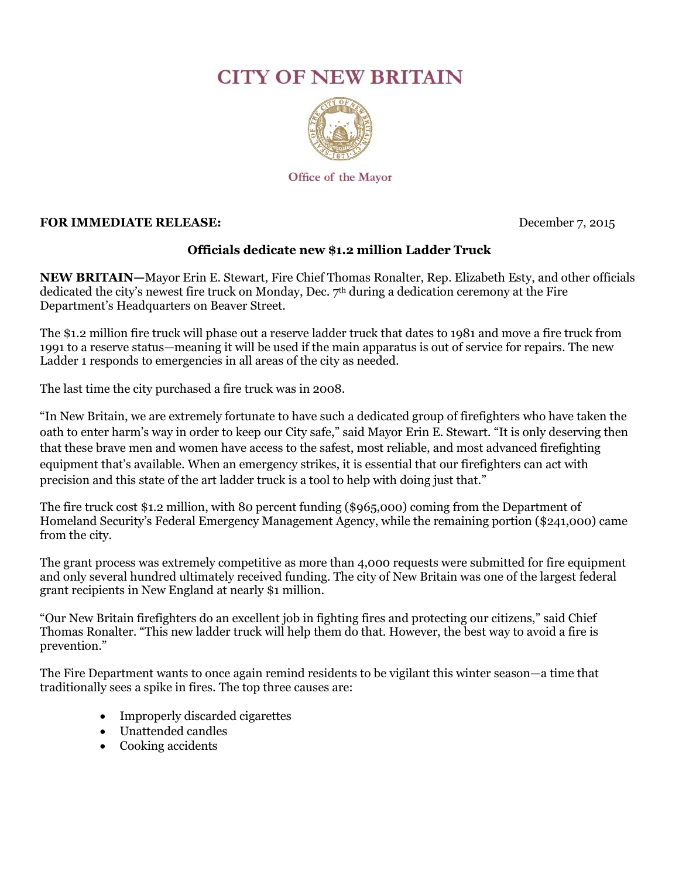## **CITY OF NEW BRITAIN**



Office of the Mayor

## **FOR IMMEDIATE RELEASE:** December 7, 2015

## **Officials dedicate new \$1.2 million Ladder Truck**

**NEW BRITAIN—**Mayor Erin E. Stewart, Fire Chief Thomas Ronalter, Rep. Elizabeth Esty, and other officials dedicated the city's newest fire truck on Monday, Dec. 7 th during a dedication ceremony at the Fire Department's Headquarters on Beaver Street.

The \$1.2 million fire truck will phase out a reserve ladder truck that dates to 1981 and move a fire truck from 1991 to a reserve status—meaning it will be used if the main apparatus is out of service for repairs. The new Ladder 1 responds to emergencies in all areas of the city as needed.

The last time the city purchased a fire truck was in 2008.

"In New Britain, we are extremely fortunate to have such a dedicated group of firefighters who have taken the oath to enter harm's way in order to keep our City safe," said Mayor Erin E. Stewart. "It is only deserving then that these brave men and women have access to the safest, most reliable, and most advanced firefighting equipment that's available. When an emergency strikes, it is essential that our firefighters can act with precision and this state of the art ladder truck is a tool to help with doing just that."

The fire truck cost \$1.2 million, with 80 percent funding (\$965,000) coming from the Department of Homeland Security's Federal Emergency Management Agency, while the remaining portion (\$241,000) came from the city.

The grant process was extremely competitive as more than 4,000 requests were submitted for fire equipment and only several hundred ultimately received funding. The city of New Britain was one of the largest federal grant recipients in New England at nearly \$1 million.

"Our New Britain firefighters do an excellent job in fighting fires and protecting our citizens," said Chief Thomas Ronalter. "This new ladder truck will help them do that. However, the best way to avoid a fire is prevention."

The Fire Department wants to once again remind residents to be vigilant this winter season—a time that traditionally sees a spike in fires. The top three causes are:

- Improperly discarded cigarettes
- Unattended candles
- Cooking accidents